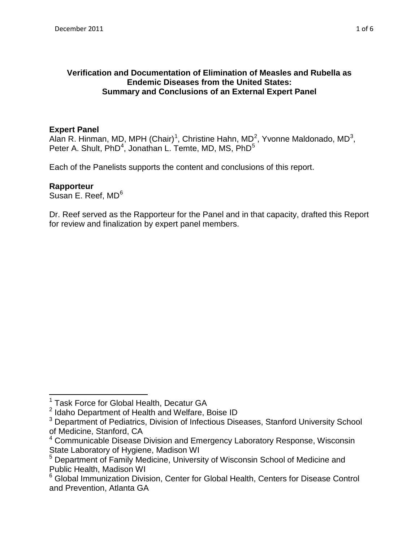# **Verification and Documentation of Elimination of Measles and Rubella as Endemic Diseases from the United States: Summary and Conclusions of an External Expert Panel**

# **Expert Panel**

Alan R. Hinman, MD, MPH (Chair)<sup>[1](#page-0-0)</sup>, Christine Hahn, MD<sup>[2](#page-0-1)</sup>, Yvonne Maldonado, MD<sup>[3](#page-0-2)</sup>, Peter A. Shult, PhD<sup>[4](#page-0-3)</sup>, Jonathan L. Temte, MD, MS, PhD<sup>5</sup>

Each of the Panelists supports the content and conclusions of this report.

# **Rapporteur**

 $\overline{\phantom{a}}$ 

Susan E. Reef, MD<sup>6</sup>

Dr. Reef served as the Rapporteur for the Panel and in that capacity, drafted this Report for review and finalization by expert panel members.

<sup>&</sup>lt;sup>1</sup> Task Force for Global Health, Decatur GA

<span id="page-0-1"></span><span id="page-0-0"></span><sup>2</sup> Idaho Department of Health and Welfare, Boise ID

<span id="page-0-2"></span><sup>&</sup>lt;sup>3</sup> Department of Pediatrics, Division of Infectious Diseases, Stanford University School of Medicine, Stanford, CA

<span id="page-0-3"></span><sup>&</sup>lt;sup>4</sup> Communicable Disease Division and Emergency Laboratory Response, Wisconsin State Laboratory of Hygiene, Madison WI

<span id="page-0-4"></span><sup>5</sup> Department of Family Medicine, University of Wisconsin School of Medicine and Public Health, Madison WI

<span id="page-0-5"></span><sup>6</sup> Global Immunization Division, Center for Global Health, Centers for Disease Control and Prevention, Atlanta GA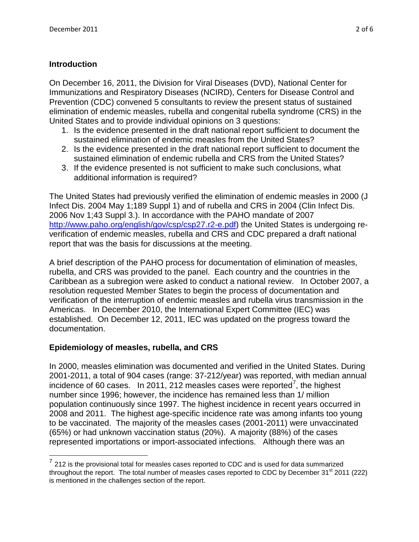# **Introduction**

l

 On December 16, 2011, the Division for Viral Diseases (DVD), National Center for Immunizations and Respiratory Diseases (NCIRD), Centers for Disease Control and Prevention (CDC) convened 5 consultants to review the present status of sustained elimination of endemic measles, rubella and congenital rubella syndrome (CRS) in the United States and to provide individual opinions on 3 questions:

- sustained elimination of endemic measles from the United States? 1. Is the evidence presented in the draft national report sufficient to document the
- sustained elimination of endemic rubella and CRS from the United States? 2. Is the evidence presented in the draft national report sufficient to document the
- sustained elimination of endemic rubella and CRS from the United States? 3. If the evidence presented is not sufficient to make such conclusions, what additional information is required?

 Infect Dis. 2004 May 1;189 Suppl 1) and of rubella and CRS in 2004 (Clin Infect Dis. 2006 Nov 1;43 Suppl 3.). In accordance with the PAHO mandate of 2007 report that was the basis for discussions at the meeting. The United States had previously verified the elimination of endemic measles in 2000 (J [http://www.paho.org/english/gov/csp/csp27.r2-e.pdf\)](http://www.paho.org/english/gov/csp/csp27.r2-e.pdf) the United States is undergoing reverification of endemic measles, rubella and CRS and CDC prepared a draft national

report that was the basis for discussions at the meeting.<br>A brief description of the PAHO process for documentation of elimination of measles, rubella, and CRS was provided to the panel. Each country and the countries in the Caribbean as a subregion were asked to conduct a national review. In October 2007, a Americas. In December 2010, the International Expert Committee (IEC) was established. On December 12, 2011, IEC was updated on the progress toward the documentation. resolution requested Member States to begin the process of documentation and verification of the interruption of endemic measles and rubella virus transmission in the

## **Epidemiology of measles, rubella, and CRS**

incidence of 60 cases. In 2011, 212 measles cases were reported<sup>[7](#page-1-0)</sup>, the highest number since 1996; however, the incidence has remained less than 1/ million 2008 and 2011. The highest age-specific incidence rate was among infants too young represented importations or import-associated infections. Although there was an In 2000, measles elimination was documented and verified in the United States. During 2001-2011, a total of 904 cases (range: 37-212/year) was reported, with median annual population continuously since 1997. The highest incidence in recent years occurred in to be vaccinated. The majority of the measles cases (2001-2011) were unvaccinated (65%) or had unknown vaccination status (20%). A majority (88%) of the cases

<span id="page-1-0"></span> $7$  212 is the provisional total for measles cases reported to CDC and is used for data summarized throughout the report. The total number of measles cases reported to CDC by December  $31<sup>st</sup> 2011$  (222) is mentioned in the challenges section of the report.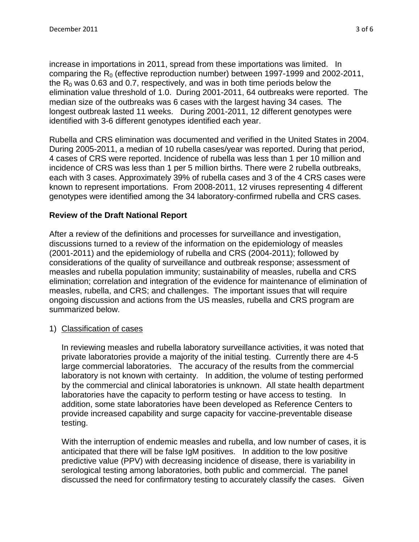increase in importations in 2011, spread from these importations was limited. In elimination value threshold of 1.0. During 2001-2011, 64 outbreaks were reported. The median size of the outbreaks was 6 cases with the largest having 34 cases. The longest outbreak lasted 11 weeks. During 2001-2011, 12 different genotypes were identified with 3-6 different genotypes identified each year. comparing the  $R_0$  (effective reproduction number) between 1997-1999 and 2002-2011, the  $R_0$  was 0.63 and 0.7, respectively, and was in both time periods below the

 During 2005-2011, a median of 10 rubella cases/year was reported. During that period, known to represent importations. From 2008-2011, 12 viruses representing 4 different Rubella and CRS elimination was documented and verified in the United States in 2004. 4 cases of CRS were reported. Incidence of rubella was less than 1 per 10 million and incidence of CRS was less than 1 per 5 million births. There were 2 rubella outbreaks, each with 3 cases. Approximately 39% of rubella cases and 3 of the 4 CRS cases were genotypes were identified among the 34 laboratory-confirmed rubella and CRS cases.

## **Review of the Draft National Report**

 discussions turned to a review of the information on the epidemiology of measles measles, rubella, and CRS; and challenges. The important issues that will require After a review of the definitions and processes for surveillance and investigation, (2001-2011) and the epidemiology of rubella and CRS (2004-2011); followed by considerations of the quality of surveillance and outbreak response; assessment of measles and rubella population immunity; sustainability of measles, rubella and CRS elimination; correlation and integration of the evidence for maintenance of elimination of ongoing discussion and actions from the US measles, rubella and CRS program are summarized below.

## 1) Classification of cases

 private laboratories provide a majority of the initial testing. Currently there are 4-5 large commercial laboratories. The accuracy of the results from the commercial laboratory is not known with certainty. In addition, the volume of testing performed by the commercial and clinical laboratories is unknown. All state health department laboratories have the capacity to perform testing or have access to testing. In In reviewing measles and rubella laboratory surveillance activities, it was noted that addition, some state laboratories have been developed as Reference Centers to provide increased capability and surge capacity for vaccine-preventable disease testing.

 With the interruption of endemic measles and rubella, and low number of cases, it is anticipated that there will be false IgM positives. In addition to the low positive serological testing among laboratories, both public and commercial. The panel discussed the need for confirmatory testing to accurately classify the cases. Given predictive value (PPV) with decreasing incidence of disease, there is variability in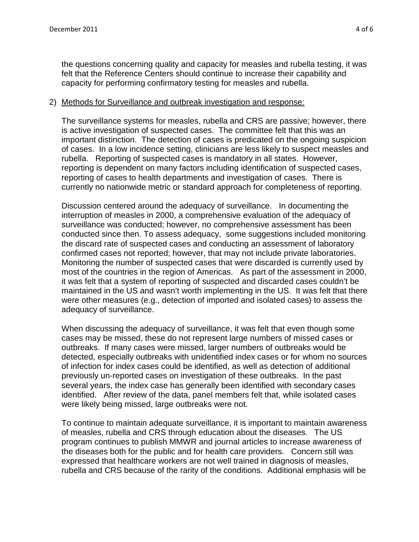the questions concerning quality and capacity for measles and rubella testing, it was felt that the Reference Centers should continue to increase their capability and capacity for performing confirmatory testing for measles and rubella.

#### 2) Methods for Surveillance and outbreak investigation and response:

 important distinction. The detection of cases is predicated on the ongoing suspicion rubella. Reporting of suspected cases is mandatory in all states. However, reporting is dependent on many factors including identification of suspected cases, reporting of cases to health departments and investigation of cases. There is currently no nationwide metric or standard approach for completeness of reporting. The surveillance systems for measles, rubella and CRS are passive; however, there is active investigation of suspected cases. The committee felt that this was an of cases. In a low incidence setting, clinicians are less likely to suspect measles and

currently no nationwide metric or standard approach for completeness of reporting.<br>Discussion centered around the adequacy of surveillance. In documenting the surveillance was conducted; however, no comprehensive assessment has been conducted since then. To assess adequacy, some suggestions included monitoring most of the countries in the region of Americas. As part of the assessment in 2000, maintained in the US and wasn't worth implementing in the US. It was felt that there adequacy of surveillance. interruption of measles in 2000, a comprehensive evaluation of the adequacy of the discard rate of suspected cases and conducting an assessment of laboratory confirmed cases not reported; however, that may not include private laboratories. Monitoring the number of suspected cases that were discarded is currently used by it was felt that a system of reporting of suspected and discarded cases couldn't be were other measures (e.g., detection of imported and isolated cases) to assess the

 cases may be missed, these do not represent large numbers of missed cases or outbreaks. If many cases were missed, larger numbers of outbreaks would be previously un-reported cases on investigation of these outbreaks. In the past several years, the index case has generally been identified with secondary cases identified. After review of the data, panel members felt that, while isolated cases were likely being missed, large outbreaks were not. When discussing the adequacy of surveillance, it was felt that even though some detected, especially outbreaks with unidentified index cases or for whom no sources of infection for index cases could be identified, as well as detection of additional

 of measles, rubella and CRS through education about the diseases. The US program continues to publish MMWR and journal articles to increase awareness of rubella and CRS because of the rarity of the conditions. Additional emphasis will be To continue to maintain adequate surveillance, it is important to maintain awareness the diseases both for the public and for health care providers. Concern still was expressed that healthcare workers are not well trained in diagnosis of measles,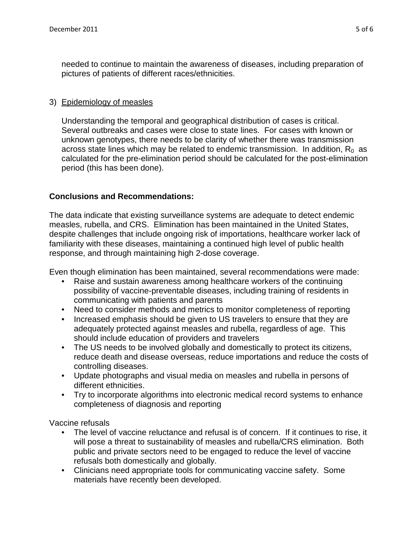needed to continue to maintain the awareness of diseases, including preparation of pictures of patients of different races/ethnicities.

## 3) Epidemiology of measles

Understanding the temporal and geographical distribution of cases is critical. Understanding the temporal and geographical distribution of cases is critical.<br>Several outbreaks and cases were close to state lines. For cases with known or across state lines which may be related to endemic transmission. In addition,  $\mathsf{R}_{0}\,$  as unknown genotypes, there needs to be clarity of whether there was transmission calculated for the pre-elimination period should be calculated for the post-elimination period (this has been done).

## **Conclusions and Recommendations:**

 measles, rubella, and CRS. Elimination has been maintained in the United States, The data indicate that existing surveillance systems are adequate to detect endemic despite challenges that include ongoing risk of importations, healthcare worker lack of familiarity with these diseases, maintaining a continued high level of public health response, and through maintaining high 2-dose coverage.

Even though elimination has been maintained, several recommendations were made:

- Raise and sustain awareness among healthcare workers of the continuing possibility of vaccine-preventable diseases, including training of residents in communicating with patients and parents
- Need to consider methods and metrics to monitor completeness of reporting
- • Increased emphasis should be given to US travelers to ensure that they are adequately protected against measles and rubella, regardless of age. This should include education of providers and travelers
- • The US needs to be involved globally and domestically to protect its citizens, reduce death and disease overseas, reduce importations and reduce the costs of controlling diseases. reduce death and disease overseas, reduce importations and reduce the costs of<br>controlling diseases.<br>Update photographs and visual media on measles and rubella in persons of
- different ethnicities.
- Try to incorporate algorithms into electronic medical record systems to enhance completeness of diagnosis and reporting

Vaccine refusals

- • The level of vaccine reluctance and refusal is of concern. If it continues to rise, it will pose a threat to sustainability of measles and rubella/CRS elimination. Both refusals both domestically and globally. public and private sectors need to be engaged to reduce the level of vaccine
- Clinicians need appropriate tools for communicating vaccine safety. Some materials have recently been developed.